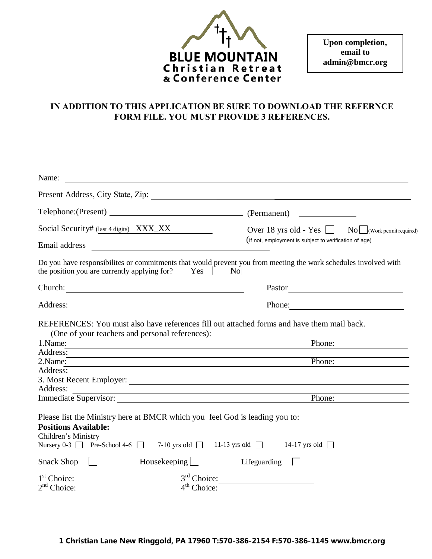

**Upon completion, email to admin@bmcr.org**

# **IN ADDITION TO THIS APPLICATION BE SURE TO DOWNLOAD THE REFERNCE FORM FILE. YOU MUST PROVIDE 3 REFERENCES.**

| Name:                                                                                                                                                                                                                                                 |                                                                                                                                                                                                                             |  |  |
|-------------------------------------------------------------------------------------------------------------------------------------------------------------------------------------------------------------------------------------------------------|-----------------------------------------------------------------------------------------------------------------------------------------------------------------------------------------------------------------------------|--|--|
|                                                                                                                                                                                                                                                       |                                                                                                                                                                                                                             |  |  |
|                                                                                                                                                                                                                                                       |                                                                                                                                                                                                                             |  |  |
| Social Security# (last 4 digits) XXX_XX                                                                                                                                                                                                               | Over 18 yrs old - Yes Sammon No Work permit required)                                                                                                                                                                       |  |  |
| Email address<br><u>and the company of the company of the company of the company of the company of the company of the company of the company of the company of the company of the company of the company of the company of the company of the com</u> | (If not, employment is subject to verification of age)                                                                                                                                                                      |  |  |
| the position you are currently applying for? Yes No                                                                                                                                                                                                   | Do you have responsibilites or commitments that would prevent you from meeting the work schedules involved with                                                                                                             |  |  |
| Church: <u>Church:</u> Church: 2007                                                                                                                                                                                                                   |                                                                                                                                                                                                                             |  |  |
| Address:                                                                                                                                                                                                                                              | Phone:                                                                                                                                                                                                                      |  |  |
| (One of your teachers and personal references):<br>1.Name:                                                                                                                                                                                            | REFERENCES: You must also have references fill out attached forms and have them mail back.<br>Phone:<br><u> 1989 - Johann Barbara, martxa alemaniar argumento este alemaniar alemaniar alemaniar alemaniar alemaniar al</u> |  |  |
| Address:                                                                                                                                                                                                                                              | ,我们也不会有什么。""我们的人,我们也不会有什么?""我们的人,我们也不会有什么?""我们的人,我们的人,我们的人,我们的人,我们的人,我们的人,我们的人,我                                                                                                                                            |  |  |
| 2.Name:                                                                                                                                                                                                                                               | Phone:                                                                                                                                                                                                                      |  |  |
| Address:                                                                                                                                                                                                                                              |                                                                                                                                                                                                                             |  |  |
|                                                                                                                                                                                                                                                       |                                                                                                                                                                                                                             |  |  |
| Address:                                                                                                                                                                                                                                              |                                                                                                                                                                                                                             |  |  |
| Immediate Supervisor:                                                                                                                                                                                                                                 | Phone:                                                                                                                                                                                                                      |  |  |
| Please list the Ministry here at BMCR which you feel God is leading you to:<br><b>Positions Available:</b><br>Children's Ministry                                                                                                                     | Nursery 0-3 Pre-School 4-6 $\Box$ 7-10 yrs old $\Box$ 11-13 yrs old $\Box$ 14-17 yrs old $\Box$                                                                                                                             |  |  |
| Snack Shop $\Box$                                                                                                                                                                                                                                     | Housekeeping $\Box$<br>Lifeguarding $\Box$                                                                                                                                                                                  |  |  |
| $1st$ Choice:                                                                                                                                                                                                                                         | $3rd$ Choice:<br><u> 1980 - Andrea Station Books, amerikansk politik (d. 1980)</u>                                                                                                                                          |  |  |
| $2nd$ Choice:                                                                                                                                                                                                                                         | $4th$ Choice:                                                                                                                                                                                                               |  |  |

**1 Christian Lane New Ringgold, PA 17960 T:570-386-2154 F:570-386-1145 www.bmcr.org**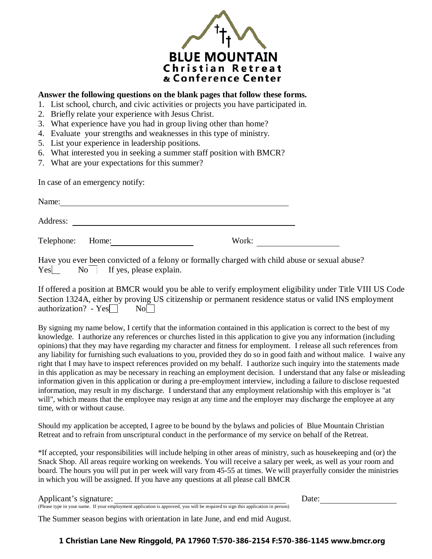

#### **Answer the following questions on the blank pages that follow these forms.**

- 1. List school, church, and civic activities or projects you have participated in.
- 2. Briefly relate your experience with Jesus Christ.
- 3. What experience have you had in group living other than home?
- 4. Evaluate your strengths and weaknesses in this type of ministry.
- 5. List your experience in leadership positions.
- 6. What interested you in seeking a summer staff position with BMCR?
- 7. What are your expectations for this summer?

In case of an emergency notify:

| Name:            |       |  |
|------------------|-------|--|
| Address:         |       |  |
| Telephone: Home: | Work: |  |

Have you ever been convicted of a felony or formally charged with child abuse or sexual abuse?  $Yes$  No If yes, please explain.

If offered a position at BMCR would you be able to verify employment eligibility under Title VIII US Code Section 1324A, either by proving US citizenship or permanent residence status or valid INS employment authorization? -  $Yes \Box \qquad No \Box$ 

By signing my name below, I certify that the information contained in this application is correct to the best of my knowledge. I authorize any references or churches listed in this application to give you any information (including opinions) that they may have regarding my character and fitness for employment. I release all such references from any liability for furnishing such evaluations to you, provided they do so in good faith and without malice. I waive any right that I may have to inspect references provided on my behalf. I authorize such inquiry into the statements made in this application as may be necessary in reaching an employment decision. I understand that any false or misleading information given in this application or during a pre-employment interview, including a failure to disclose requested information, may result in my discharge. I understand that any employment relationship with this employer is "at will", which means that the employee may resign at any time and the employer may discharge the employee at any time, with or without cause.

Should my application be accepted, I agree to be bound by the bylaws and policies of Blue Mountain Christian Retreat and to refrain from unscriptural conduct in the performance of my service on behalf of the Retreat.

\*If accepted, your responsibilities will include helping in other areas of ministry, such as housekeeping and (or) the Snack Shop. All areas require working on weekends. You will receive a salary per week, as well as your room and board. The hours you will put in per week will vary from 45-55 at times. We will prayerfully consider the ministries in which you will be assigned. If you have any questions at all please call BMCR

Applicant's signature: Date:

(Please type in your name. If your employment application is approved, you will be required to sign this application in person) The Summer season begins with orientation in late June, and end mid August.

### **1 Christian Lane New Ringgold, PA 17960 T:570-386-2154 F:570-386-1145 www.bmcr.org**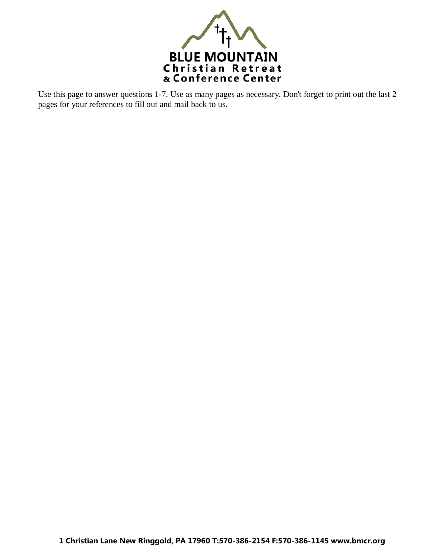

Use this page to answer questions 1-7. Use as many pages as necessary. Don't forget to print out the last 2 pages for your references to fill out and mail back to us.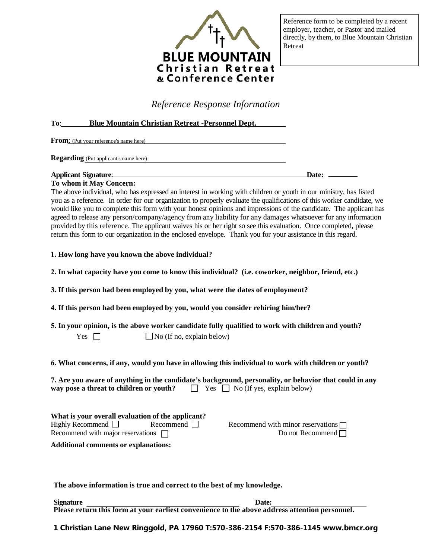

Reference form to be completed by a recent employer, teacher, or Pastor and mailed directly, by them, to Blue Mountain Christian Retreat

*Reference Response Information*

#### **To**: **Blue Mountain Christian Retreat -Personnel Dept.**

From: (Put your reference's name here)

**Regarding** (Put applicant's name here)

## **Applicant Signature**: **Date:**

**To whom it May Concern:**  The above individual, who has expressed an interest in working with children or youth in our ministry, has listed you as a reference. In order for our organization to properly evaluate the qualifications of this worker candidate, we would like you to complete this form with your honest opinions and impressions of the candidate. The applicant has agreed to release any person/company/agency from any liability for any damages whatsoever for any information provided by this reference. The applicant waives his or her right so see this evaluation. Once completed, please return this form to our organization in the enclosed envelope. Thank you for your assistance in this regard.

- **1. How long have you known the above individual?**
- **2. In what capacity have you come to know this individual? (i.e. coworker, neighbor, friend, etc.)**

**3. If this person had been employed by you, what were the dates of employment?**

**4. If this person had been employed by you, would you consider rehiring him/her?**

**5. In your opinion, is the above worker candidate fully qualified to work with children and youth?** 

**6. What concerns, if any, would you have in allowing this individual to work with children or youth?**

| 7. Are you aware of anything in the candidate's background, personality, or behavior that could in any |                                              |  |  |
|--------------------------------------------------------------------------------------------------------|----------------------------------------------|--|--|
| way pose a threat to children or youth?                                                                | $\Box$ Yes $\Box$ No (If yes, explain below) |  |  |

| What is your overall evaluation of the applicant? |                  |     |  |
|---------------------------------------------------|------------------|-----|--|
| Highly Recommend $\Box$                           | Recommend $\Box$ | Reo |  |
| Recommend with major reservations $\Box$          |                  |     |  |

**Additional comments or explanations:** 

commend with minor reservations  $\Box$ Do not Recommend

**The above information is true and correct to the best of my knowledge.** 

**Signature** Date: **Please return this form at your earliest convenience to the above address attention personnel.** 

**1 Christian Lane New Ringgold, PA 17960 T:570-386-2154 F:570-386-1145 www.bmcr.org**